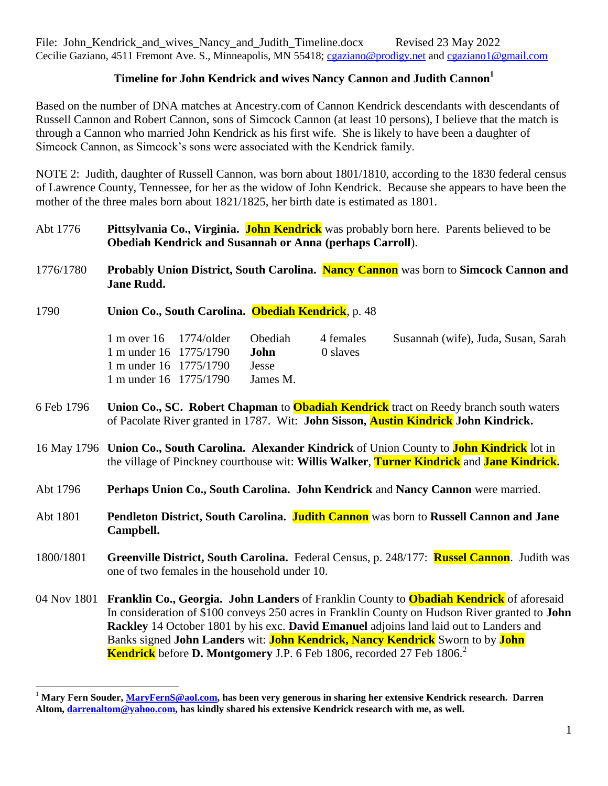## **Timeline for John Kendrick and wives Nancy Cannon and Judith Cannon<sup>1</sup>**

Based on the number of DNA matches at Ancestry.com of Cannon Kendrick descendants with descendants of Russell Cannon and Robert Cannon, sons of Simcock Cannon (at least 10 persons), I believe that the match is through a Cannon who married John Kendrick as his first wife. She is likely to have been a daughter of Simcock Cannon, as Simcock's sons were associated with the Kendrick family.

NOTE 2: Judith, daughter of Russell Cannon, was born about 1801/1810, according to the 1830 federal census of Lawrence County, Tennessee, for her as the widow of John Kendrick. Because she appears to have been the mother of the three males born about 1821/1825, her birth date is estimated as 1801.

- Abt 1776 **Pittsylvania Co., Virginia. John Kendrick** was probably born here. Parents believed to be **Obediah Kendrick and Susannah or Anna (perhaps Carroll**).
- 1776/1780 **Probably Union District, South Carolina. Nancy Cannon** was born to **Simcock Cannon and Jane Rudd.**
- 1790 **Union Co., South Carolina. Obediah Kendrick**, p. 48

| $1 \text{ m over } 16$ $1774/\text{older}$ | <b>Obediah</b> | 4 females | Susannah (wife), Juda, Susan, Sarah |  |
|--------------------------------------------|----------------|-----------|-------------------------------------|--|
| 1 m under $16$ 1775/1790                   | .Iohn          | 0 slaves  |                                     |  |
| 1 m under 16 1775/1790                     | <b>Jesse</b>   |           |                                     |  |
| 1 m under 16 1775/1790                     | James M.       |           |                                     |  |

- 6 Feb 1796 **Union Co., SC. Robert Chapman** to **Obadiah Kendrick** tract on Reedy branch south waters of Pacolate River granted in 1787. Wit: **John Sisson, Austin Kindrick John Kindrick.**
- 16 May 1796 **Union Co., South Carolina. Alexander Kindrick** of Union County to **John Kindrick** lot in the village of Pinckney courthouse wit: **Willis Walker**, **Turner Kindrick** and **Jane Kindrick.**
- Abt 1796 **Perhaps Union Co., South Carolina. John Kendrick** and **Nancy Cannon** were married.
- Abt 1801 **Pendleton District, South Carolina. Judith Cannon** was born to **Russell Cannon and Jane Campbell.**
- 1800/1801 **Greenville District, South Carolina.** Federal Census, p. 248/177: **Russel Cannon**. Judith was one of two females in the household under 10.
- 04 Nov 1801 **Franklin Co., Georgia. John Landers** of Franklin County to **Obadiah Kendrick** of aforesaid In consideration of \$100 conveys 250 acres in Franklin County on Hudson River granted to **John Rackley** 14 October 1801 by his exc. **David Emanuel** adjoins land laid out to Landers and Banks signed **John Landers** wit: **John Kendrick, Nancy Kendrick** Sworn to by **John Kendrick** before **D. Montgomery** J.P. 6 Feb 1806, recorded 27 Feb 1806.<sup>2</sup>

<sup>1</sup> **Mary Fern Souder[, MaryFernS@aol.com,](mailto:MaryFernS@aol.com) has been very generous in sharing her extensive Kendrick research. Darren Altom, [darrenaltom@yahoo.com,](mailto:darrenaltom@yahoo.com) has kindly shared his extensive Kendrick research with me, as well.**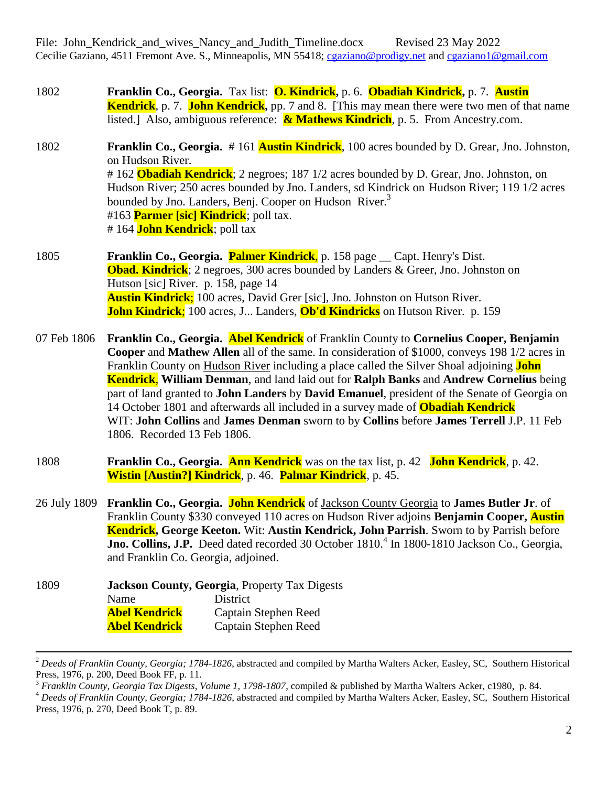1802 **Franklin Co., Georgia.** Tax list: **O. Kindrick,** p. 6. **Obadiah Kindrick,** p. 7. **Austin Kendrick**, p. 7. **John Kendrick,** pp. 7 and 8. [This may mean there were two men of that name listed.] Also, ambiguous reference: **& Mathews Kindrich**, p. 5. From Ancestry.com.

1802 **Franklin Co., Georgia.** # 161 **Austin Kindrick**, 100 acres bounded by D. Grear, Jno. Johnston, on Hudson River. # 162 **Obadiah Kendrick**; 2 negroes; 187 1/2 acres bounded by D. Grear, Jno. Johnston, on Hudson River; 250 acres bounded by Jno. Landers, sd Kindrick on Hudson River; 119 1/2 acres bounded by Jno. Landers, Benj. Cooper on Hudson River.<sup>3</sup> #163 **Parmer [sic] Kindrick**; poll tax. # 164 **John Kendrick**; poll tax

1805 **Franklin Co., Georgia. Palmer Kindrick**, p. 158 page \_\_ Capt. Henry's Dist. **Obad. Kindrick**; 2 negroes, 300 acres bounded by Landers & Greer, Jno. Johnston on Hutson [sic] River. p. 158, page 14 **Austin Kindrick**; 100 acres, David Grer [sic], Jno. Johnston on Hutson River. **John Kindrick**; 100 acres, J... Landers, **Ob'd Kindricks** on Hutson River. p. 159

07 Feb 1806 **Franklin Co., Georgia. Abel Kendrick** of Franklin County to **Cornelius Cooper, Benjamin Cooper** and **Mathew Allen** all of the same. In consideration of \$1000, conveys 198 1/2 acres in Franklin County on Hudson River including a place called the Silver Shoal adjoining **John Kendrick**, **William Denman**, and land laid out for **Ralph Banks** and **Andrew Cornelius** being part of land granted to **John Landers** by **David Emanuel**, president of the Senate of Georgia on 14 October 1801 and afterwards all included in a survey made of **Obadiah Kendrick** WIT: **John Collins** and **James Denman** sworn to by **Collins** before **James Terrell** J.P. 11 Feb 1806. Recorded 13 Feb 1806.

- 1808 **Franklin Co., Georgia. Ann Kendrick** was on the tax list, p. 42 **John Kendrick**, p. 42. **Wistin [Austin?] Kindrick**, p. 46. **Palmar Kindrick**, p. 45.
- 26 July 1809 **Franklin Co., Georgia. John Kendrick** of Jackson County Georgia to **James Butler Jr**. of Franklin County \$330 conveyed 110 acres on Hudson River adjoins **Benjamin Cooper, Austin Kendrick, George Keeton.** Wit: **Austin Kendrick, John Parrish**. Sworn to by Parrish before Jno. Collins, J.P. Deed dated recorded 30 October 1810.<sup>4</sup> In 1800-1810 Jackson Co., Georgia, and Franklin Co. Georgia, adjoined.
- 1809 **Jackson County, Georgia**, Property Tax Digests Name District **Abel Kendrick** Captain Stephen Reed **Abel Kendrick** Captain Stephen Reed

<sup>2</sup> *Deeds of Franklin County, Georgia; 1784-1826*, abstracted and compiled by Martha Walters Acker, Easley, SC, Southern Historical Press, 1976, p. 200, Deed Book FF, p. 11.

<sup>3</sup> *Franklin County, Georgia Tax Digests, Volume 1, 1798-1807*, compiled & published by Martha Walters Acker, c1980, p. 84.

<sup>4</sup> *Deeds of Franklin County, Georgia; 1784-1826*, abstracted and compiled by Martha Walters Acker, Easley, SC, Southern Historical Press, 1976, p. 270, Deed Book T, p. 89.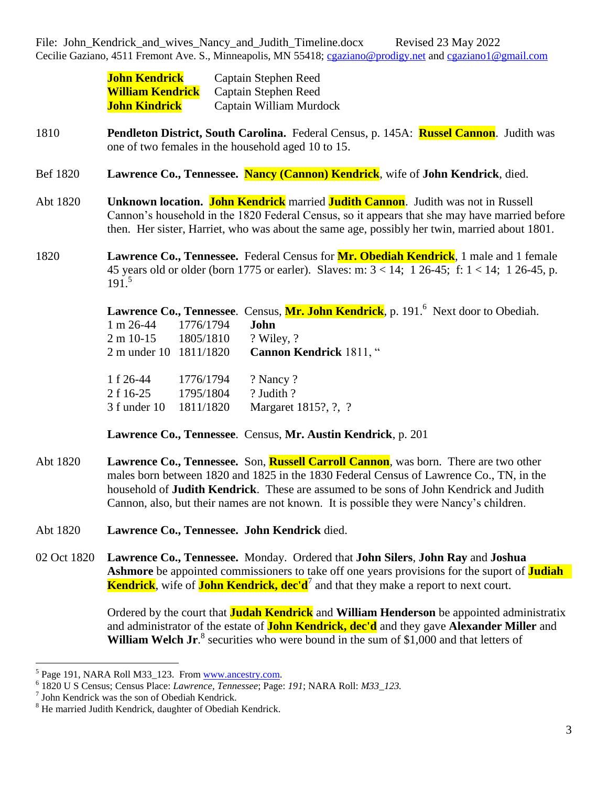| <b>John Kendrick</b>    | Captain Stephen Reed    |
|-------------------------|-------------------------|
| <b>William Kendrick</b> | Captain Stephen Reed    |
| <b>John Kindrick</b>    | Captain William Murdock |

- 1810 **Pendleton District, South Carolina.** Federal Census, p. 145A: **Russel Cannon**. Judith was one of two females in the household aged 10 to 15.
- Bef 1820 **Lawrence Co., Tennessee. Nancy (Cannon) Kendrick**, wife of **John Kendrick**, died.
- Abt 1820 **Unknown location. John Kendrick** married **Judith Cannon**. Judith was not in Russell Cannon's household in the 1820 Federal Census, so it appears that she may have married before then. Her sister, Harriet, who was about the same age, possibly her twin, married about 1801.
- 1820 **Lawrence Co., Tennessee.** Federal Census for **Mr. Obediah Kendrick**, 1 male and 1 female 45 years old or older (born 1775 or earler). Slaves: m:  $3 < 14$ ; 1  $26-45$ ; f:  $1 < 14$ ; 1  $26-45$ , p. 191. 5

|                                    |           | Lawrence Co., Tennessee. Census, Mr. John Kendrick, p. 191. <sup>6</sup> Next door to Obediah. |
|------------------------------------|-----------|------------------------------------------------------------------------------------------------|
| $1 m 26-44$ $1776/1794$            |           | John                                                                                           |
| $2 \text{ m } 10 - 15$ $1805/1810$ |           | ? Wiley, ?                                                                                     |
| 2 m under 10 1811/1820             |           | Cannon Kendrick 1811, "                                                                        |
| $1 f 26-44$ $1776/1794$            |           | ? Nancy ?                                                                                      |
| 2 f 16-25                          | 1795/1804 | ? Judith ?                                                                                     |
| 3 f under 10 1811/1820             |           | Margaret 1815?, ?, ?                                                                           |

**Lawrence Co., Tennessee**. Census, **Mr. Austin Kendrick**, p. 201

- Abt 1820 **Lawrence Co., Tennessee.** Son, **Russell Carroll Cannon**, was born. There are two other males born between 1820 and 1825 in the 1830 Federal Census of Lawrence Co., TN, in the household of **Judith Kendrick**. These are assumed to be sons of John Kendrick and Judith Cannon, also, but their names are not known. It is possible they were Nancy's children.
- Abt 1820 **Lawrence Co., Tennessee. John Kendrick** died.
- 02 Oct 1820 **Lawrence Co., Tennessee.** Monday. Ordered that **John Silers**, **John Ray** and **Joshua Ashmore** be appointed commissioners to take off one years provisions for the suport of **Judiah Kendrick**, wife of **John Kendrick, dec'd**<sup>7</sup> and that they make a report to next court.

Ordered by the court that **Judah Kendrick** and **William Henderson** be appointed administratix and administrator of the estate of **John Kendrick, dec'd** and they gave **Alexander Miller** and William Welch Jr.<sup>8</sup> securities who were bound in the sum of \$1,000 and that letters of

<sup>&</sup>lt;sup>5</sup> Page 191, NARA Roll M33\_123. From [www.ancestry.com.](http://www.ancestry.com/)

<sup>6</sup> 1820 U S Census; Census Place: *Lawrence, Tennessee*; Page: *191*; NARA Roll: *M33\_123.*

<sup>7</sup> John Kendrick was the son of Obediah Kendrick.

<sup>8</sup> He married Judith Kendrick, daughter of Obediah Kendrick.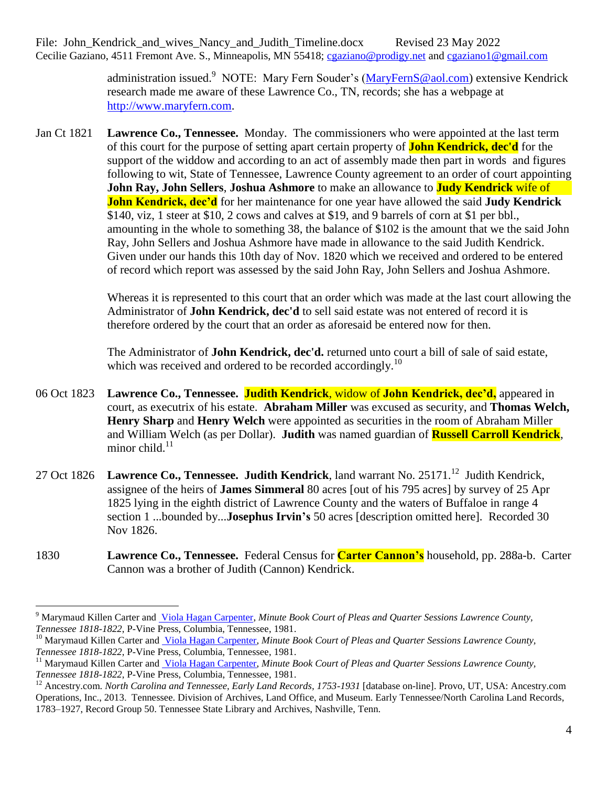> administration issued.<sup>9</sup> NOTE: Mary Fern Souder's [\(MaryFernS@aol.com\)](mailto:MaryFernS@aol.com) extensive Kendrick research made me aware of these Lawrence Co., TN, records; she has a webpage at [http://www.maryfern.com.](http://www.maryfern.com/)

Jan Ct 1821 **Lawrence Co., Tennessee.** Monday. The commissioners who were appointed at the last term of this court for the purpose of setting apart certain property of **John Kendrick, dec'd** for the support of the widdow and according to an act of assembly made then part in words and figures following to wit, State of Tennessee, Lawrence County agreement to an order of court appointing **John Ray, John Sellers**, **Joshua Ashmore** to make an allowance to **Judy Kendrick** wife of **John Kendrick, dec'd** for her maintenance for one year have allowed the said **Judy Kendrick** \$140, viz, 1 steer at \$10, 2 cows and calves at \$19, and 9 barrels of corn at \$1 per bbl., amounting in the whole to something 38, the balance of \$102 is the amount that we the said John Ray, John Sellers and Joshua Ashmore have made in allowance to the said Judith Kendrick. Given under our hands this 10th day of Nov. 1820 which we received and ordered to be entered of record which report was assessed by the said John Ray, John Sellers and Joshua Ashmore.

> Whereas it is represented to this court that an order which was made at the last court allowing the Administrator of **John Kendrick, dec'd** to sell said estate was not entered of record it is therefore ordered by the court that an order as aforesaid be entered now for then.

The Administrator of **John Kendrick, dec'd.** returned unto court a bill of sale of said estate, which was received and ordered to be recorded accordingly.<sup>10</sup>

- 06 Oct 1823 **Lawrence Co., Tennessee. Judith Kendrick**, widow of **John Kendrick, dec'd,** appeared in court, as executrix of his estate. **Abraham Miller** was excused as security, and **Thomas Welch, Henry Sharp** and **Henry Welch** were appointed as securities in the room of Abraham Miller and William Welch (as per Dollar). **Judith** was named guardian of **Russell Carroll Kendrick**, minor child. $11$
- 27 Oct 1826 Lawrence Co., Tennessee. Judith Kendrick, land warrant No. 25171.<sup>12</sup> Judith Kendrick, assignee of the heirs of **James Simmeral** 80 acres [out of his 795 acres] by survey of 25 Apr 1825 lying in the eighth district of Lawrence County and the waters of Buffaloe in range 4 section 1 ...bounded by...**Josephus Irvin's** 50 acres [description omitted here]. Recorded 30 Nov 1826.
- 1830 **Lawrence Co., Tennessee.** Federal Census for **Carter Cannon's** household, pp. 288a-b. Carter Cannon was a brother of Judith (Cannon) Kendrick.

<sup>&</sup>lt;sup>9</sup> Marymaud Killen Carter and [Viola Hagan Carpenter,](http://www.abebooks.com/servlet/SearchResults?an=Carter%2C+Marymaud+and+Viola+Carpenter&cm_sp=det-_-bdp-_-author) *Minute Book Court of Pleas and Quarter Sessions Lawrence County*, *Tennessee 1818-1822*, P-Vine Press, Columbia, Tennessee, 1981.

<sup>&</sup>lt;sup>10</sup> Marymaud Killen Carter and *Viola Hagan Carpenter, Minute Book Court of Pleas and Quarter Sessions Lawrence County, Tennessee 1818-1822*, P-Vine Press, Columbia, Tennessee, 1981.

<sup>11</sup> Marymaud Killen Carter and [Viola Hagan Carpenter,](http://www.abebooks.com/servlet/SearchResults?an=Carter%2C+Marymaud+and+Viola+Carpenter&cm_sp=det-_-bdp-_-author) *Minute Book Court of Pleas and Quarter Sessions Lawrence County, Tennessee 1818-1822*, P-Vine Press, Columbia, Tennessee, 1981.

<sup>&</sup>lt;sup>12</sup> Ancestry.com. *North Carolina and Tennessee, Early Land Records, 1753-1931* [database on-line]. Provo, UT, USA: Ancestry.com Operations, Inc., 2013. Tennessee. Division of Archives, Land Office, and Museum. Early Tennessee/North Carolina Land Records, 1783–1927, Record Group 50. Tennessee State Library and Archives, Nashville, Tenn.